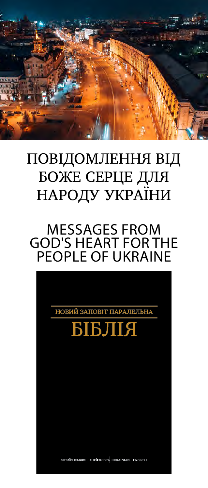

# ПОВІДОМЛЕННЯ ВІД БОЖЕ СЕРЦЕ ДЛЯ НАРОДУ УКРАЇНИ

## MESSAGES FROM GOD'S HEART FOR THE PEOPLE OF UKRAINE

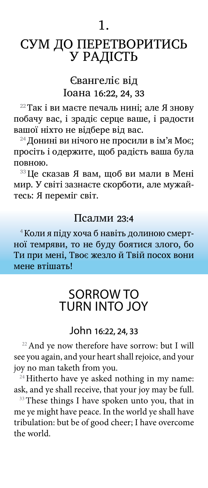## CУМ ДО ПЕРЕТВОРИТИСЬ У РАДІСТЬ

### Євангеліє від Іоана 16:22, 24, 33

22 Так і ви маєте печаль нині; але Я знову побачу вас, і зрадіє серце ваше, і радости вашої ніхто не відбере від вас.

24 Донині ви нічого не просили в ім'я Моє; просіть і одержите, щоб радість ваша була повною.

33 Це сказав Я вам, щоб ви мали в Мені мир. У світі зазнаєте скорботи, але мужайтесь: Я переміг світ.

#### Псалми 23:4

4 Коли я піду хоча б навіть долиною смертної темряви, то не буду боятися злого, бо Ти при мені, Твоє жезло й Твій посох вони мене втішать!

## SORROW TO TURN INTO JOY

#### John 16:22, 24, 33

<sup>22</sup> And ye now therefore have sorrow: but I will see you again, and your heart shall rejoice, and your joy no man taketh from you.

 $24$  Hitherto have ye asked nothing in my name: ask, and ye shall receive, that your joy may be full.

 $33$  These things I have spoken unto you, that in me ye might have peace. In the world ye shall have tribulation: but be of good cheer; I have overcome the world.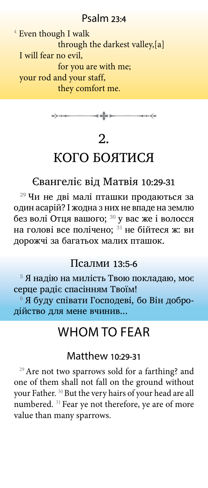### Psalm 23:4

<sup>4</sup> Even though I walk through the darkest valley,[a] I will fear no evil, for you are with me; your rod and your staff, they comfort me.



## 2.

## КОГО БОЯТИСЯ

### Євангеліє від Матвія 10:29-31

<sup>29</sup> Чи не дві малі пташки продаються за один асарій? І жодна з них не впаде на землю без волі Отця вашого; <sup>30</sup> у вас же і волосся на голові все полічено; 31 не бійтеся ж: ви дорожчі за багатьох малих пташок.

#### Псалми 13:5-6

5  Я надію на милість Твою покладаю, моє серце радіє спасінням Твоїм!

6  Я буду співати Господеві, бо Він добродійство для мене вчинив...

## WHOM TO FEAR

### Matthew 10:29-31

<sup>29</sup> Are not two sparrows sold for a farthing? and one of them shall not fall on the ground without your Father. <sup>30</sup> But the very hairs of your head are all numbered. <sup>31</sup> Fear ye not therefore, ye are of more value than many sparrows.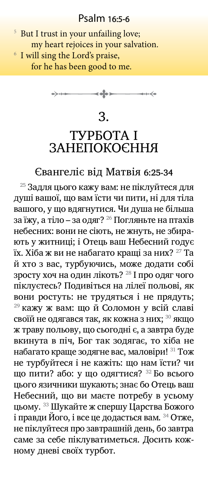### Psalm 16:5-6

<sup>5</sup> But I trust in your unfailing love; my heart rejoices in your salvation. 6 I will sing the Lord's praise, for he has been good to me.

> $\rightarrow$ ⊸⊶⊷≼∙

> > 3.

## ТУРБОТА І ЗАНЕПОКОЄННЯ

#### Євангеліє від Матвія 6:25-34

<sup>25</sup> Задля цього кажу вам: не піклуйтеся для душі вашої, що вам їсти чи пити, ні для тіла вашого, у що вдягнутися. Чи душа не більша за їжу, а тіло – за одяг? <sup>26</sup> Погляньте на птахів небесних: вони не сіють, не жнуть, не збирають у житниці; і Отець ваш Небесний годує їх. Хіба ж ви не набагато кращі за них? <sup>27</sup> Та й хто з вас, турбуючись, може додати собі зросту хоч на один лікоть? <sup>28</sup> І про одяг чого піклуєтесь? Подивіться на лілеї польові, як вони ростуть: не трудяться і не прядуть; <sup>29</sup> кажу ж вам: що й Соломон у всій славі своїй не одягався так, як кожна з них; 30 якщо ж траву польову, що сьогодні є, а завтра буде вкинута в піч, Бог так зодягає, то хіба не набагато краще зодягне вас, маловіри! 31 Тож не турбуйтеся і не кажіть: що нам їсти? чи що пити? або: у що одягтися? 32 Бо всього цього язичники шукають; знає бо Отець ваш Небесний, що ви маєте потребу в усьому цьому. 33 Шукайте ж спершу Царства Божого і правди Його, і все це додасться вам. 34 Отже, не піклуйтеся про завтрашній день, бо завтра саме за себе піклуватиметься. Досить кожному дневі своїх турбот.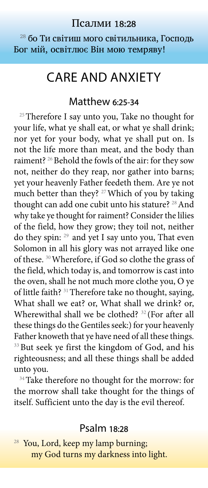#### Псалми 18:28

<sup>28</sup> бо Ти світиш мого світильника, Господь Бог мій, освітлює Він мою темряву!

## CARE AND ANXIETY

#### Matthew 6:25-34

<sup>25</sup> Therefore I say unto you, Take no thought for your life, what ye shall eat, or what ye shall drink; nor yet for your body, what ye shall put on. Is not the life more than meat, and the body than raiment? <sup>26</sup> Behold the fowls of the air: for they sow not, neither do they reap, nor gather into barns; yet your heavenly Father feedeth them. Are ye not much better than they? 27Which of you by taking thought can add one cubit unto his stature? <sup>28</sup> And why take ye thought for raiment? Consider the lilies of the field, how they grow; they toil not, neither do they spin: 29 and yet I say unto you, That even Solomon in all his glory was not arrayed like one of these. 30Wherefore, if God so clothe the grass of the field, which today is, and tomorrow is cast into the oven, shall he not much more clothe you, O ye of little faith? <sup>31</sup> Therefore take no thought, saying, What shall we eat? or, What shall we drink? or, Wherewithal shall we be clothed? 32 (For after all these things do the Gentiles seek:) for your heavenly Father knoweth that ye have need of all these things. <sup>33</sup> But seek ye first the kingdom of God, and his righteousness; and all these things shall be added unto you.

<sup>34</sup> Take therefore no thought for the morrow: for the morrow shall take thought for the things of itself. Sufficient unto the day is the evil thereof.

### Psalm 18:28

You, Lord, keep my lamp burning; my God turns my darkness into light.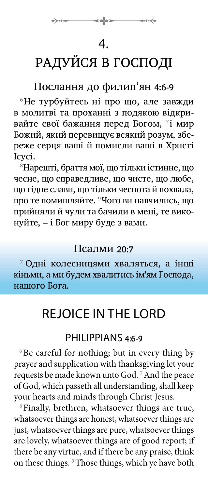## 4.

# РАДУЙСЯ В ГОСПОДІ

## Послання до филип'ян 4:6-9

<sup>6</sup>Не турбуйтесь ні про що, але завжди в молитвi та проханнi з подякою вiдкривайте свої бажання перед Богом, 7 імир Божий, який перевищує всякий розум, збереже серця вашi й помисли вашi в Христi Iсусi.

<sup>8</sup>Hарештi, браття мої, що тiльки iстинне, що чесне, що справедливе, що чисте, що любе, що гiдне слави, що тiльки чеснота й похвала, про те помишляйте. <sup>9</sup>Чого ви навчились, що прийняли й чули та бачили в менi, те виконуйте, – i Бог миру буде з вами.

### Псалми 20:7

<sup>7</sup> Одні колесницями хваляться, а інші кіньми, а ми будем хвалитись ім'ям Господа, нашого Бога.

## REJOICE IN THE LORD

## PHILIPPIANS 4:6-9

 $6B$ e careful for nothing; but in every thing by prayer and supplication with thanksgiving let your requests be made known unto God. 7And the peace of God, which passeth all understanding, shall keep your hearts and minds through Christ Jesus.

<sup>8</sup> Finally, brethren, whatsoever things are true, whatsoever things are honest, whatsoever things are just, whatsoever things are pure, whatsoever things are lovely, whatsoever things are of good report; if there be any virtue, and if there be any praise, think on these things. <sup>9</sup>Those things, which ye have both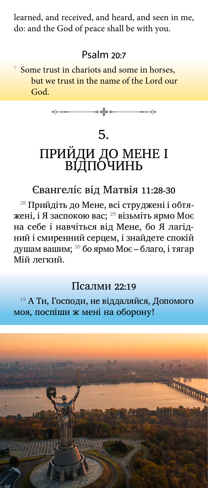learned, and received, and heard, and seen in me, do: and the God of peace shall be with you.

### Psalm 20:7

7 Some trust in chariots and some in horses, but we trust in the name of the Lord our God.



# 5. ПРИИДИ ДО МЕНЕ I ВІДПОЧИНЬ

### Євангеліє від Матвія 11:28-30

28 Прийдіть до Мене, всі струджені і обтяжені, і Я заспокою вас; <sup>29</sup> візьміть ярмо Моє на себе і навчіться від Мене, бо Я лагідний і смиренний серцем, і знайдете спокій душам вашим; 30 бо ярмо Моє – благо, і тягар Мій легкий.

### Псалми 22:19

<sup>19</sup> А Ти, Господи, не віддаляйся, Допомого моя, поспіши ж мені на оборону!

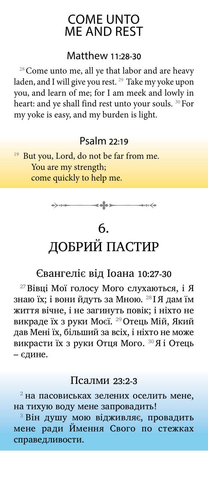## COME UNTO ME AND REST

### Matthew 11:28-30

<sup>28</sup> Come unto me, all ye that labor and are heavy laden, and I will give you rest. <sup>29</sup> Take my yoke upon you, and learn of me; for I am meek and lowly in heart: and ye shall find rest unto your souls. <sup>30</sup> For my yoke is easy, and my burden is light.

### Psalm 22:19

<sup>19</sup> But you, Lord, do not be far from me. You are my strength; come quickly to help me.



# 6. ДОБРИЙ ПАСТИР

## Євангеліє від Іоана 10:27-30

27 Вівці Мої голосу Мого слухаються, і Я знаю їх; і вони йдуть за Мною. <sup>28</sup> І Я дам їм життя вічне, і не загинуть повік; і ніхто не викраде їх з руки Моєї. 29 Отець Мій, Який дав Мені їх, більший за всіх, і ніхто не може викрасти їх з руки Отця Мого. 30 Я і Отець – єдине.

#### Псалми 23:2-3

 $^2$ на пасовиськах зелених оселить мене, на тихую воду мене запровадить!

3 Він душу мою відживляє, провадить мене ради Ймення Свого по стежках справедливости.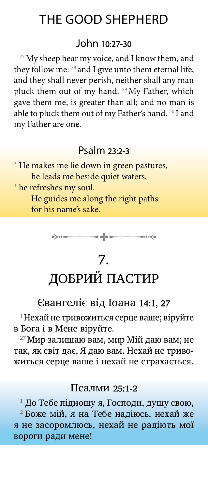## THE GOOD SHEPHERD

#### John 10:27-30

 $27$  My sheep hear my voice, and I know them, and they follow me: <sup>28</sup> and I give unto them eternal life; and they shall never perish, neither shall any man pluck them out of my hand. 29My Father, which gave them me, is greater than all; and no man is able to pluck them out of my Father's hand. 30 I and my Father are one.

### Psalm 23:2-3

<sup>2</sup> He makes me lie down in green pastures, he leads me beside quiet waters,

<sup>3</sup> he refreshes my soul.

He guides me along the right paths for his name's sake.



# 7. ДОБРИЙ ПАСТИР

### Євангеліє від Іоана 14:1, 27

 $1$ Нехай не тривожиться серце ваше; віруйте в Бога і в Мене віруйте.

 $27$  Мир залишаю вам, мир Мій даю вам; не так, як світ дає, Я даю вам. Нехай не тривожиться серце ваше і нехай не страхається.

#### Псалми 25:1-2

 $^{\rm 1}$  До Тебе підношу я, Господи, душу свою,

2  Боже мій, я на Тебе надіюсь, нехай же я не засоромлюсь, нехай не радіють мої вороги ради мене!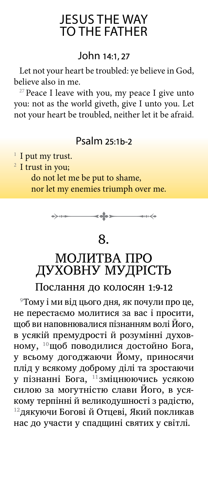## JESUS THE WAY TO THE FATHER

### John 14:1, 27

Let not your heart be troubled: ye believe in God, believe also in me.

<sup>27</sup> Peace I leave with you, my peace I give unto you: not as the world giveth, give I unto you. Let not your heart be troubled, neither let it be afraid.

### Psalm 25:1b-2

<sup>1</sup> I put my trust.

 $2$  I trust in you;

do not let me be put to shame, nor let my enemies triumph over me.



## 8.

# МОЛИТВА ПРО ДУХОВНУ МУДРІСТЬ

Послання до колосян 1:9-12

<sup>9</sup>Тому і ми від цього дня, як почули про це, не перестаємо молитися за вас i просити, щоб ви наповнювалися пiзнанням волi Його, в усякiй премудростi й розумiннi духовному, <sup>10</sup>щоб поводилися достойно Бога, у всьому догоджаючи Йому, приносячи плiд у всякому доброму дiлi та зростаючи у пiзнаннi Бога, <sup>11</sup> змiцнюючись усякою силою за могутнiстю слави Його, в усякому терпiннi й великодушностi з радiстю, <sup>12</sup>дякуючи Боговi й Отцевi, Який покликав нас до участи у спадщинi святих у свiтлi.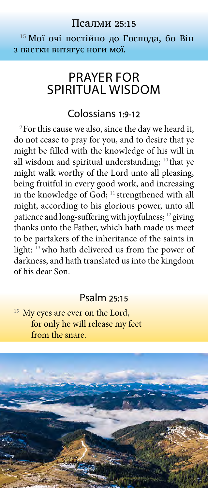#### Псалми 25:15

15 Мої очі постійно до Господа, бо Він з пастки витягує ноги мої.

## PRAYER FOR SPIRITUAL WISDOM

#### Colossians 1:9-12

<sup>9</sup> For this cause we also, since the day we heard it, do not cease to pray for you, and to desire that ye might be filled with the knowledge of his will in all wisdom and spiritual understanding;  $10$  that ye might walk worthy of the Lord unto all pleasing, being fruitful in every good work, and increasing in the knowledge of God; 11 strengthened with all might, according to his glorious power, unto all patience and long-suffering with joyfulness; 12 giving thanks unto the Father, which hath made us meet to be partakers of the inheritance of the saints in light: 13who hath delivered us from the power of darkness, and hath translated us into the kingdom of his dear Son.

#### Psalm 25:15

<sup>15</sup> My eyes are ever on the Lord, for only he will release my feet from the snare.

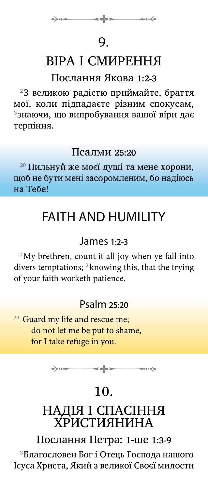## 9.

# ВІРА І СМИРЕННЯ

### Послання Якова 1:2-3

 $23$  великою радістю приймайте, браття мої, коли підпадаєте рiзним спокусам, 3знаючи, що випробування вашої вiри дає терпiння.

### Псалми 25:20

<sup>20</sup> Пильнуй же моєї душі та мене хорони, щоб не бути мені засоромленим, бо надіюсь на Тебе!

# FAITH AND HUMILITY

## James 1:2-3

 $2^2$ My brethren, count it all joy when ye fall into divers temptations; <sup>3</sup> knowing this, that the trying of your faith worketh patience.

## Psalm 25:20

<sup>20</sup> Guard my life and rescue me; do not let me be put to shame, for I take refuge in you.

 $\leftrightarrow \qquad \qquad \bullet \qquad \bullet \qquad \bullet \qquad \bullet \qquad \bullet \qquad \bullet$ 

## 10.

## НАДІЯ І СПАСІННЯ ХРИСТИЯНИНА

Послання Петра: 1-ше 1:3-9

3Благословен Бог i Отець Господа нашого Iсуса Христа, Який з великої Своєї милости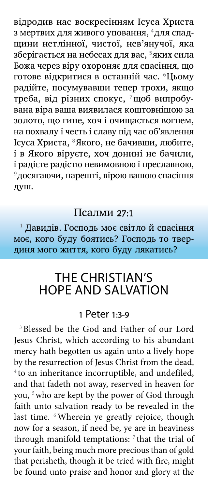вiдродив нас воскресінням Iсуса Христа з мертвих для живого уповання, <sup>4</sup>для спадщини нетлiнної, чистої, нев'янучої, яка зберiгається на небесах для вас, <sup>5</sup>яких сила Божа через вiру охороняє для спасiння, що готове відкритися в останній час. <sup>6</sup>Цьому радiйте, посумувавши тепер трохи, якщо треба, вiд рiзних спокус, 7щоб випробувана вiра ваша виявилася коштовнiшою за золото, що гине, хоч i очищається вогнем, на похвалу i честь i славу під час об'явлення Iсуса Христа, <sup>8</sup>Якого, не бачивши, любите, i в Якого вiруєте, хоч донині не бачили, і радієте радістю невимовною і преславною, <sup>9</sup>досягаючи, нарешті, вірою вашою спасіння душ.

#### Псалми 27:1

1  Давидів. Господь моє світло й спасіння моє, кого буду боятись? Господь то твердиня мого життя, кого буду лякатись?

## THE CHRISTIAN'S HOPE AND SALVATION

#### 1 Peter 1:3-9

<sup>3</sup> Blessed be the God and Father of our Lord Jesus Christ, which according to his abundant mercy hath begotten us again unto a lively hope by the resurrection of Jesus Christ from the dead, <sup>4</sup> to an inheritance incorruptible, and undefiled, and that fadeth not away, reserved in heaven for you, <sup>5</sup> who are kept by the power of God through faith unto salvation ready to be revealed in the last time. <sup>6</sup>Wherein ye greatly rejoice, though now for a season, if need be, ye are in heaviness through manifold temptations:  $7$  that the trial of your faith, being much more precious than of gold that perisheth, though it be tried with fire, might be found unto praise and honor and glory at the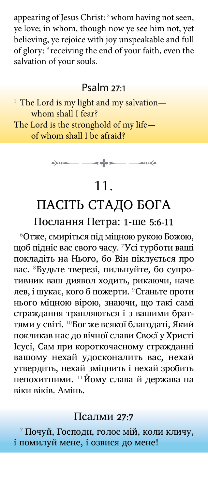appearing of Jesus Christ: <sup>8</sup> whom having not seen, ye love; in whom, though now ye see him not, yet believing, ye rejoice with joy unspeakable and full of glory: 9 receiving the end of your faith, even the salvation of your souls.

#### Psalm 27:1

<sup>1</sup> The Lord is my light and my salvation whom shall I fear? The Lord is the stronghold of my life of whom shall I be afraid?



## 11.

## ПАСІТЬ СТАДО БОГА Послання Петра: 1-ше 5:6-11

<sup>6</sup>Отже, смирiться пiд мiцною рукою Божою, щоб пiднiс вас свого часу. <sup>7</sup>Усi турботи вашi покладiть на Hього, бо Вiн пiклується про вас. 8Будьте тверезi, пильнуйте, бо супротивник ваш диявол ходить, рикаючи, наче лев, і шукає, кого б пожерти. <sup>9</sup>Станьте проти нього мiцною вiрою, знаючи, що такi самi страждання трапляються i з вашими браттями у свiтi. <sup>10</sup>Бог же всякої благодатi, Який покликав нас до вiчної слави Своєї у Христi Iсусi, Сам при короткочасному стражданнi вашому нехай удосконалить вас, нехай утвердить, нехай змiцнить i нехай зробить непохитними. <sup>11</sup>Йому слава й держава на віки віків. Амiнь.

### Псалми 27:7

7  Почуй, Господи, голос мій, коли кличу, і помилуй мене, і озвися до мене!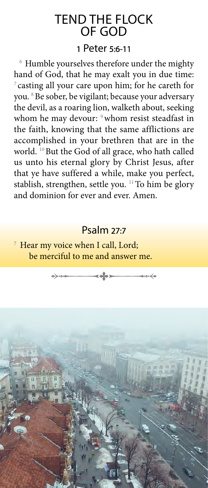# TEND THE FLOCK OF GOD

#### 1 Peter 5:6-11

<sup>6</sup> Humble yourselves therefore under the mighty hand of God, that he may exalt you in due time:  $\sigma$  casting all your care upon him; for he careth for you. <sup>8</sup>Be sober, be vigilant; because your adversary the devil, as a roaring lion, walketh about, seeking whom he may devour: <sup>9</sup> whom resist steadfast in the faith, knowing that the same afflictions are accomplished in your brethren that are in the world. <sup>10</sup> But the God of all grace, who hath called us unto his eternal glory by Christ Jesus, after that ye have suffered a while, make you perfect, stablish, strengthen, settle you. <sup>11</sup> To him be glory and dominion for ever and ever. Amen.

### Psalm 27:7

<sup>7</sup> Hear my voice when I call, Lord; be merciful to me and answer me.

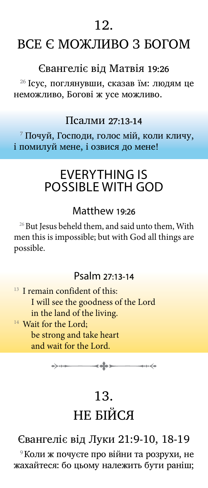12.

## ВСЕ Є МОЖЛИВО З БОГОМ

### Євангеліє від Матвія 19:26

<sup>26</sup> Ісус, поглянувши, сказав їм: людям це неможливо, Богові ж усе можливо.

#### Псалми 27:13-14

7  Почуй, Господи, голос мій, коли кличу, і помилуй мене, і озвися до мене!

## EVERYTHING IS POSSIBLE WITH GOD

#### Matthew 19:26

 $26$  But Jesus beheld them, and said unto them, With men this is impossible; but with God all things are possible.

### Psalm 27:13-14

 $13$  I remain confident of this: I will see the goodness of the Lord in the land of the living. <sup>14</sup> Wait for the Lord; be strong and take heart and wait for the Lord.



# 13. НЕ БІЙСЯ

## Євангеліє від Луки 21:9-10, 18-19

9 Коли ж почуєте про війни та розрухи, не жахайтеся: бо цьому належить бути раніш;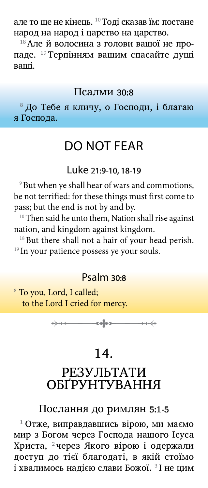але то ще не кінець. 10 Тоді сказав їм: постане народ на народ і царство на царство.

<sup>18</sup>**Але й волосина з голови вашої не про**паде. 19 Терпінням вашим спасайте душі ваші.

#### Псалми 30:8

<sup>8</sup> До Тебе я кличу, о Господи, і благаю я Господа.

## DO NOT FEAR

#### Luke 21:9-10, 18-19

<sup>9</sup> But when ye shall hear of wars and commotions, be not terrified: for these things must first come to pass; but the end is not by and by.

<sup>10</sup>Then said he unto them, Nation shall rise against nation, and kingdom against kingdom.

<sup>18</sup> But there shall not a hair of your head perish.  $19$  In your patience possess ye your souls.

### Psalm 30:8

<sup>8</sup> To you, Lord, I called; to the Lord I cried for mercy.



## 14.

## РЕЗУЛЬТАТИ ОБҐРУНТУВАННЯ

#### Послання до римлян 5:1-5

1  Отже, виправдавшись вiрою, ми маємо мир з Богом через Господа нашого Iсуса Христа, 2 через Якого вiрою i одержали доступ до тiєї благодатi, в якiй стоїмо і хвалимось надією слави Божої.  $3$ I не цим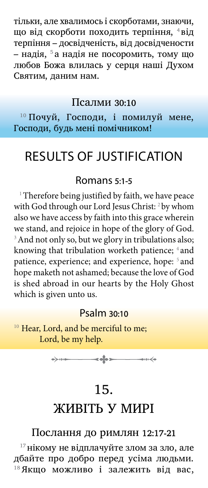тiльки, але хвалимось i скорботами, знаючи, що від скорботи походить терпіння, <sup>4</sup>від терпiння – досвiдченiсть, вiд досвiдчености – надiя, 5 а надiя не посоромить, тому що любов Божа влилась у серця нашi Духом Святим, даним нам.

#### Псалми 30:10

<sup>10</sup> Почуй, Господи, і помилуй мене, Господи, будь мені помічником!

## RESULTS OF JUSTIFICATION

#### Romans 5:1-5

<sup>1</sup> Therefore being justified by faith, we have peace with God through our Lord Jesus Christ: <sup>2</sup> by whom also we have access by faith into this grace wherein we stand, and rejoice in hope of the glory of God. <sup>3</sup> And not only so, but we glory in tribulations also; knowing that tribulation worketh patience; <sup>4</sup> and patience, experience; and experience, hope: <sup>5</sup> and hope maketh not ashamed; because the love of God is shed abroad in our hearts by the Holy Ghost which is given unto us.

#### Psalm 30:10

<sup>10</sup> Hear, Lord, and be merciful to me; Lord, be my help.

 $\rightarrow$   $\rightarrow$ 

# 15. ЖИВІТЬ У МИРІ

#### Послання до римлян 12:17-21

 $17$ нікому не відплачуйте злом за зло, але дбайте про добро перед усiма людьми. 18 Якщо можливо i залежить вiд вас,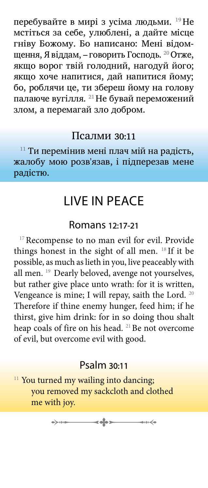перебувайте в мирi з усiма людьми. 19 Hе мстiться за себе, улюбленi, а дайте мiсце гнiву Божому. Бо написано: Менi відомщення, Я віддам, – говорить Господь. 20 Отже, якщо ворог твiй голодний, нагодуй його; якщо хоче напитися, дай напитися йому; бо, роблячи це, ти збереш йому на голову палаюче вугiлля. 21 Hе бувай переможений злом, а перемагай зло добром.

#### Псалми 30:11

 $11$  Ти перемінив мені плач мій на радість, жалобу мою розв'язав, і підперезав мене радістю.

## LIVE IN PEACE

#### Romans 12:17-21

<sup>17</sup> Recompense to no man evil for evil. Provide things honest in the sight of all men. 18 If it be possible, as much as lieth in you, live peaceably with all men. <sup>19</sup> Dearly beloved, avenge not yourselves, but rather give place unto wrath: for it is written, Vengeance is mine; I will repay, saith the Lord. <sup>20</sup> Therefore if thine enemy hunger, feed him; if he thirst, give him drink: for in so doing thou shalt heap coals of fire on his head. <sup>21</sup>Be not overcome of evil, but overcome evil with good.

### Psalm 30:11

<sup>11</sup> You turned my wailing into dancing; you removed my sackcloth and clothed me with joy.

> $\rightarrow$   $\rightarrow$ ⊸⊶⊷≼∙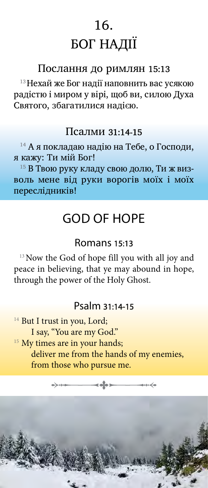# 16. БОГ НАДІЇ

#### Послання до римлян 15:13

 $^{13}$ Нехай же Бог надії наповнить вас усякою радiстю i миром у вiрi, щоб ви, силою Духа Святого, збагатилися надiєю.

#### Псалми 31:14-15

<sup>14</sup> А я покладаю надію на Тебе, о Господи, я кажу: Ти мій Бог!

<sup>15</sup> В Твою руку кладу свою долю, Ти ж визволь мене від руки ворогів моїх і моїх переслідників!

## GOD OF HOPE

### Romans 15:13

<sup>13</sup> Now the God of hope fill you with all joy and peace in believing, that ye may abound in hope, through the power of the Holy Ghost.

### Psalm 31:14-15

<sup>14</sup> But I trust in you, Lord; I say, "You are my God." <sup>15</sup> My times are in your hands; deliver me from the hands of my enemies, from those who pursue me.

 $\overline{\phantom{a}}$ 

 $\longrightarrow$   $\rightarrow$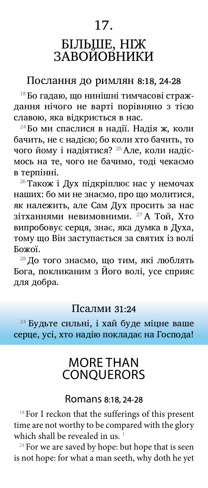# 17. БІЛЬШЕ, НІЖ ЗАВОЙОВНИКИ

#### Послання до римлян 8:18, 24-28

18 Бо гадаю, що нинiшнi тимчасовi страждання нiчого не вартi порiвняно з тiєю славою, яка вiдкриється в нас.

24 Бо ми спаслися в надiї. Hадiя ж, коли бачить, не є надiєю; бо коли хто бачить, то чого йому i надiятися? 25 Але, коли надiємось на те, чого не бачимо, тодi чекаємо в терпiннi.

26 Також i Дух пiдкрiплює нас у немочах наших: бо ми не знаємо, про що молитися, як належить, але Сам Дух просить за нас зiтханнями невимовними. 27 А Той, Хто випробовує серця, знає, яка думка в Духа, тому що Вiн заступається за святих iз волi Божої.

28 До того знаємо, що тим, якi люблять Бога, покликаним з Його волi, усе сприяє для добра.

#### Псалми 31:24

24 Будьте сильні, і хай буде міцне ваше серце, усі, хто надію покладає на Господа!

## MORE THAN **CONOUERORS**

#### Romans 8:18, 24-28

 $18$  For I reckon that the sufferings of this present time are not worthy to be compared with the glory which shall be revealed in us.<sup>1</sup>

 $24$  For we are saved by hope: but hope that is seen is not hope: for what a man seeth, why doth he yet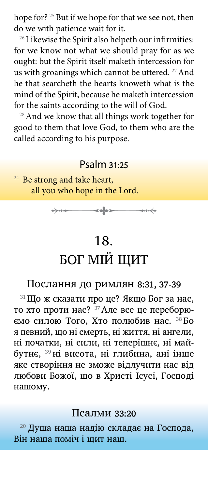hope for? <sup>25</sup> But if we hope for that we see not, then do we with patience wait for it.

<sup>26</sup> Likewise the Spirit also helpeth our infirmities: for we know not what we should pray for as we ought: but the Spirit itself maketh intercession for us with groanings which cannot be uttered. <sup>27</sup> And he that searcheth the hearts knoweth what is the mind of the Spirit, because he maketh intercession for the saints according to the will of God.

<sup>28</sup> And we know that all things work together for good to them that love God, to them who are the called according to his purpose.

#### Psalm 31:25

<sup>24</sup> Be strong and take heart, all you who hope in the Lord.



# 18. БОГ МІЙ ЩИТ

### Послання до римлян 8:31, 37-39

31 Що ж сказати про це? Якщо Бог за нас, то хто проти нас? 37 Але все це переборюємо силою Того, Хто полюбив нас. 38 Бо я певний, що нi смерть, нi життя, нi ангели, нi початки, нi сили, нi теперiшнє, нi майбутнє, 39 нi висота, нi глибина, анi iнше яке створiння не зможе вiдлучити нас вiд любови Божої, що в Христi Iсусi, Господi нашому.

#### Псалми 33:20

<sup>20</sup> Душа наша надію складає на Господа, Він наша поміч і щит наш.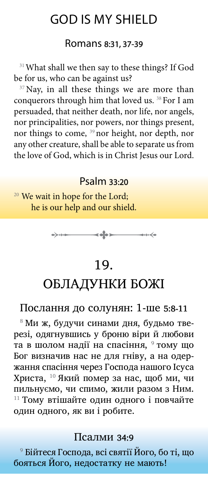## GOD IS MY SHIELD

#### Romans 8:31, 37-39

<sup>31</sup> What shall we then say to these things? If God be for us, who can be against us?

<sup>37</sup> Nay, in all these things we are more than conquerors through him that loved us. <sup>38</sup> For I am persuaded, that neither death, nor life, nor angels, nor principalities, nor powers, nor things present, nor things to come, <sup>39</sup> nor height, nor depth, nor any other creature, shall be able to separate us from the love of God, which is in Christ Jesus our Lord.

### Psalm 33:20

<sup>20</sup> We wait in hope for the Lord; he is our help and our shield.



## 19.

## ОБЛАДУНКИ БОЖІ

#### Послання до солунян: 1-ше 5:8-11

8  Ми ж, будучи синами дня, будьмо тверезi, одягнувшись у броню вiри й любови та в шолом надії на спасіння, <sup>9</sup> тому що Бог визначив нас не для гнiву, а на одержання спасiння через Господа нашого Iсуса Христа, <sup>10</sup> Який помер за нас, щоб ми, чи пильнуємо, чи спимо, жили разом з Hим. <sup>11</sup> Тому втiшайте один одного i повчайте один одного, як ви i робите.

#### Псалми 34:9

9  Бійтеся Господа, всі святії Його, бо ті, що бояться Його, недостатку не мають!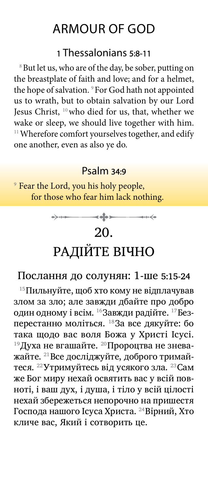## ARMOUR OF GOD

### 1 Thessalonians 5:8-11

<sup>8</sup> But let us, who are of the day, be sober, putting on the breastplate of faith and love; and for a helmet, the hope of salvation. <sup>9</sup> For God hath not appointed us to wrath, but to obtain salvation by our Lord Jesus Christ, <sup>10</sup> who died for us, that, whether we wake or sleep, we should live together with him. <sup>11</sup> Wherefore comfort yourselves together, and edify one another, even as also ye do.

#### Psalm 34:9

<sup>9</sup> Fear the Lord, you his holy people, for those who fear him lack nothing.



#### Послання до солунян: 1-ше 5:15-24

15Пильнуйте, щоб хто кому не вiдплачував злом за зло; але завжди дбайте про добро один одному i всiм. 16Завжди радiйте. 17Безперестанно молiться. <sup>18</sup>За все дякуйте: бо така щодо вас воля Божа у Христi Iсусi.  $^{19}$ Духа не вгашайте.  $^{20}$ Пророцтва не зневажайте. 21Все дослiджуйте, доброго тримайтеся. <sup>22</sup>Утримуйтесь від усякого зла. <sup>23</sup>Сам же Бог миру нехай освятить вас у всiй повнотi, i ваш дух, i душа, i тiло у всiй цiлостi нехай збережеться непорочно на пришестя Господа нашого Iсуса Христа. 24Вiрний, Хто кличе вас, Який i сотворить це.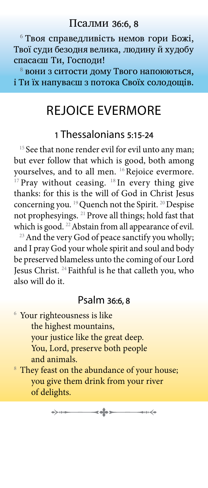6  Твоя справедливість немов гори Божі, Твої суди безодня велика, людину й худобу спасаєш Ти, Господи!

8  вони з ситости дому Твого напоюються, і Ти їх напуваєш з потока Своїх солодощів.

## REJOICE EVERMORE

### 1 Thessalonians 5:15-24

<sup>15</sup> See that none render evil for evil unto any man; but ever follow that which is good, both among yourselves, and to all men. <sup>16</sup> Rejoice evermore. <sup>17</sup> Pray without ceasing. <sup>18</sup> In every thing give thanks: for this is the will of God in Christ Jesus concerning you. <sup>19</sup> Quench not the Spirit. <sup>20</sup> Despise not prophesyings. <sup>21</sup> Prove all things; hold fast that which is good. <sup>22</sup> Abstain from all appearance of evil.

<sup>23</sup> And the very God of peace sanctify you wholly; and I pray God your whole spirit and soul and body be preserved blameless unto the coming of our Lord Jesus Christ. <sup>24</sup> Faithful is he that calleth you, who also will do it.

### Psalm 36:6, 8

- 6 Your righteousness is like the highest mountains, your justice like the great deep. You, Lord, preserve both people and animals.
- <sup>8</sup> They feast on the abundance of your house; you give them drink from your river of delights.

 $\rightarrow$   $\rightarrow$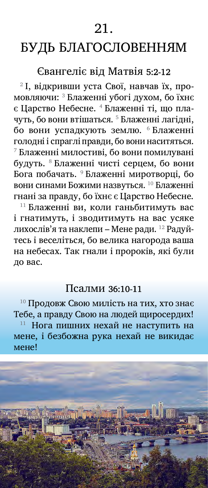## БУДЬ БЛАГОСЛОВЕННЯМ

### Євангеліє від Матвія 5:2-12

2  І, відкривши уста Свої, навчав їх, промовляючи: 3  Блаженні убогі духом, бо їхнє є Царство Небесне. <sup>4</sup> Блаженні ті, що плачуть, бо вони втішаться. <sup>5</sup> Блаженні лагідні, бо вони успадкують землю. <sup>6</sup> Блаженні голодні і спраглі правди, бо вони наситяться. 7  Блаженні милостиві, бо вони помилувані будуть. <sup>8</sup> Блаженні чисті серцем, бо вони Бога побачать. <sup>9</sup>  Блаженні миротворці, бо вони синами Божими назвуться. <sup>10</sup> Блаженні гнані за правду, бо їхнє є Царство Небесне.

<sup>11</sup> Блаженні ви, коли ганьбитимуть вас і гнатимуть, і зводитимуть на вас усяке лихослів'я та наклепи – Мене ради. 12 Радуйтесь і веселіться, бо велика нагорода ваша на небесах. Так гнали і пророків, які були до вас.

#### Псалми 36:10-11

<sup>10</sup> Продовж Свою милість на тих, хто знає Тебе, а правду Свою на людей щиросердих! <sup>11</sup>  Нога пишних нехай не наступить на мене, і безбожна рука нехай не викидає мене!

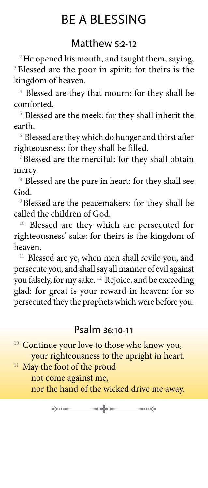# BE A BLESSING

## Matthew 5:2-12

<sup>2</sup>He opened his mouth, and taught them, saying, <sup>3</sup>Blessed are the poor in spirit: for theirs is the kingdom of heaven.

<sup>4</sup> Blessed are they that mourn: for they shall be comforted.

<sup>5</sup> Blessed are the meek: for they shall inherit the earth.

<sup>6</sup> Blessed are they which do hunger and thirst after righteousness: for they shall be filled.

<sup>7</sup>Blessed are the merciful: for they shall obtain mercy.

<sup>8</sup> Blessed are the pure in heart: for they shall see God.

<sup>9</sup>Blessed are the peacemakers: for they shall be called the children of God.

<sup>10</sup> Blessed are they which are persecuted for righteousness' sake: for theirs is the kingdom of heaven.

<sup>11</sup> Blessed are ye, when men shall revile you, and persecute you, and shall say all manner of evil against you falsely, for my sake. 12 Rejoice, and be exceeding glad: for great is your reward in heaven: for so persecuted they the prophets which were before you.

### Psalm 36:10-11

<sup>10</sup> Continue your love to those who know you, your righteousness to the upright in heart.

<sup>11</sup> May the foot of the proud not come against me, nor the hand of the wicked drive me away.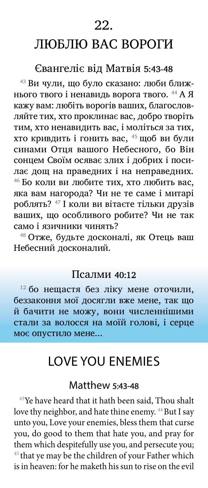22.

## ЛЮБЛЮ ВАС ВОРОГИ

### Євангеліє від Матвія 5:43-48

43 Ви чули, що було сказано: люби ближнього твого і ненавидь ворога твого. 44 А Я кажу вам: любіть ворогів ваших, благословляйте тих, хто проклинає вас, добро творіть тим, хто ненавидить вас, і моліться за тих, хто кривдить і гонить вас, 45 щоб ви були синами Отця вашого Небесного, бо Він сонцем Своїм осяває злих і добрих і посилає дощ на праведних і на неправедних. 46 Бо коли ви любите тих, хто любить вас, яка вам нагорода? Чи не те саме і митарі роблять? 47 І коли ви вітаєте тільки друзів ваших, що особливого робите? Чи не так само і язичники чинять?

48 Отже, будьте досконалі, як Отець ваш Небесний досконалий.

#### Псалми 40:12

 $12$  бо нещастя без ліку мене оточили, беззаконня мої досягли вже мене, так що й бачити не можу, вони численнішими стали за волосся на моїй голові, і серце моє опустило мене...

## LOVE YOU ENEMIES

#### Matthew 5:43-48

<sup>43</sup>Ye have heard that it hath been said, Thou shalt love thy neighbor, and hate thine enemy. <sup>44</sup> But I say unto you, Love your enemies, bless them that curse you, do good to them that hate you, and pray for them which despitefully use you, and persecute you;  $45$  that ye may be the children of your Father which is in heaven: for he maketh his sun to rise on the evil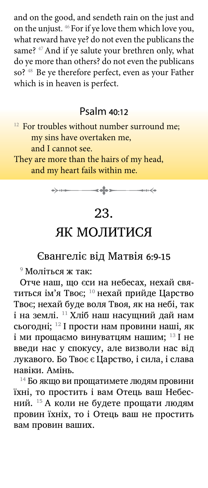and on the good, and sendeth rain on the just and on the unjust. <sup>46</sup> For if ye love them which love you, what reward have ye? do not even the publicans the same? <sup>47</sup> And if ye salute your brethren only, what do ye more than others? do not even the publicans so?<sup>48</sup> Be ye therefore perfect, even as your Father which is in heaven is perfect.

### Psalm 40:12

<sup>12</sup> For troubles without number surround me; my sins have overtaken me, and I cannot see.

They are more than the hairs of my head, and my heart fails within me.



## 23.

## ЯК МОЛИТИСЯ

## Євангеліє від Матвія 6:9-15

9  Моліться ж так:

Отче наш, що єси на небесах, нехай святиться ім'я Твоє; <sup>10</sup> нехай прийде Царство Твоє; нехай буде воля Твоя, як на небі, так і на землі. <sup>11</sup> Хліб наш насущний дай нам сьогодні; <sup>12</sup> І прости нам провини наші, як і ми прощаємо винуватцям нашим;  $^{13}$  I не введи нас у спокусу, але визволи нас від лукавого. Бо Твоє є Царство, і сила, і слава навіки. Амінь.

14 Бо якщо ви прощатимете людям провини їхні, то простить і вам Отець ваш Небесний. 15 А коли не будете прощати людям провин їхніх, то і Отець ваш не простить вам провин ваших.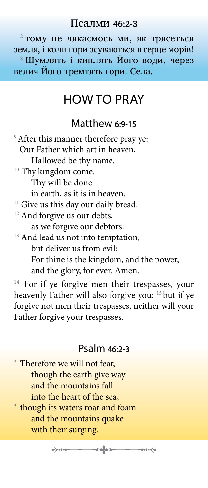#### Псалми 46:2-3

 $2$  тому не лякаємось ми, як трясеться земля, і коли гори зсуваються в серце морів! 3 Шумлять і киплять Його води, через велич Його тремтять гори. Села.

## HOW TO PRAY

### Matthew 6:9-15

<sup>9</sup> After this manner therefore pray ye: Our Father which art in heaven, Hallowed be thy name. <sup>10</sup> Thy kingdom come. Thy will be done in earth, as it is in heaven. <sup>11</sup> Give us this day our daily bread. <sup>12</sup> And forgive us our debts, as we forgive our debtors. <sup>13</sup> And lead us not into temptation, but deliver us from evil: For thine is the kingdom, and the power, and the glory, for ever. Amen.

<sup>14</sup> For if ye forgive men their trespasses, your heavenly Father will also forgive you: 15 but if ye forgive not men their trespasses, neither will your Father forgive your trespasses.

#### Psalm 46:2-3

- <sup>2</sup> Therefore we will not fear, though the earth give way and the mountains fall into the heart of the sea,
- <sup>3</sup> though its waters roar and foam and the mountains quake with their surging.

 $\rightarrow + +$ 

 $\longrightarrow$ 

◆₩≼◆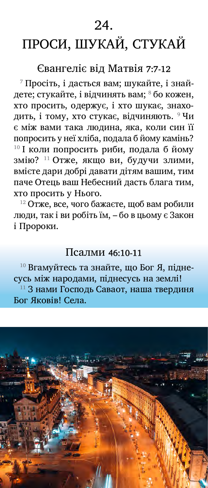24.

# ПРОСИ, ШУКАЙ, СТУКАЙ

#### Євангеліє від Матвія 7:7-12

7  Просіть, і дасться вам; шукайте, і знайдете; стукайте, і відчинять вам; <sup>8</sup> бо кожен, хто просить, одержує, і хто шукає, знаходить, і тому, хто стукає, відчиняють. <sup>9</sup> Чи є між вами така людина, яка, коли син її попросить у неї хліба, подала б йому камінь? <sup>10</sup> І коли попросить риби, подала б йому змію? <sup>11</sup> Отже, якщо ви, будучи злими, вмієте дари добрі давати дітям вашим, тим паче Отець ваш Небесний дасть блага тим, хто просить у Нього.

 $12$  Отже, все, чого бажаєте, щоб вам робили люди, так і ви робіть їм, – бо в цьому є Закон і Пророки.

#### Псалми 46:10-11

 $10$ <sup>10</sup> Вгамуйтесь та знайте, що Бог Я, піднесусь між народами, піднесусь на землі! <sup>11</sup> З нами Господь Саваот, наша твердиня Бог Яковів! Села.

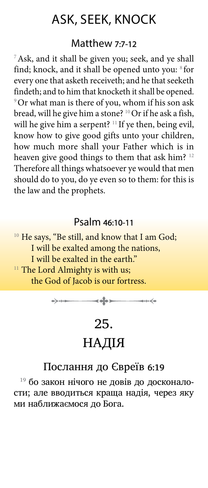## ASK, SEEK, KNOCK

#### Matthew 7:7-12

<sup>7</sup> Ask, and it shall be given you; seek, and ye shall find; knock, and it shall be opened unto you: <sup>8</sup> for every one that asketh receiveth; and he that seeketh findeth; and to him that knocketh it shall be opened. <sup>9</sup> Or what man is there of you, whom if his son ask bread, will he give him a stone? <sup>10</sup> Or if he ask a fish, will he give him a serpent? <sup>11</sup> If ye then, being evil, know how to give good gifts unto your children, how much more shall your Father which is in heaven give good things to them that ask him?<sup>12</sup> Therefore all things whatsoever ye would that men should do to you, do ye even so to them: for this is the law and the prophets.

#### Psalm 46:10-11

<sup>10</sup> He says, "Be still, and know that I am God; I will be exalted among the nations, I will be exalted in the earth." <sup>11</sup> The Lord Almighty is with us; the God of Jacob is our fortress.

$$
\rightarrow
$$

# 25. НАДІЯ

### Послання до Євреїв 6:19

<sup>19</sup> бо закон нiчого не довiв до досконалости; але вводиться краща надiя, через яку ми наближаємося до Бога.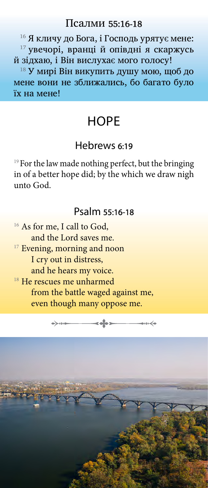#### Псалми 55:16-18

<sup>16</sup> Я кличу до Бога, і Господь урятує мене: <sup>17</sup> увечорі, вранці й опівдні я скаржусь й зідхаю, і Він вислухає мого голосу!

<sup>18</sup> У мирі Він викупить душу мою, щоб до мене вони не зближались, бо багато було їх на мене!

## **HOPE**

#### Hebrews 6:19

<sup>19</sup> For the law made nothing perfect, but the bringing in of a better hope did; by the which we draw nigh unto God.

#### Psalm 55:16-18

<sup>16</sup> As for me, I call to God, and the Lord saves me. <sup>17</sup> Evening, morning and noon I cry out in distress, and he hears my voice. <sup>18</sup> He rescues me unharmed from the battle waged against me, even though many oppose me.

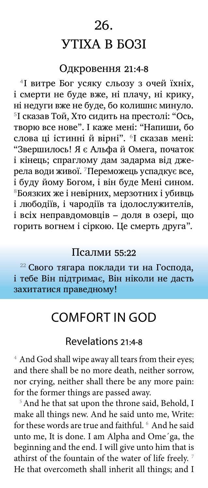## 26. УТІХА В БОЗІ

## Одкровення 21:4-8

<sup>4</sup> І витре Бог усяку сльозу з очей їхніх, і смерти не буде вже, ні плачу, ні крику, ні недуги вже не буде, бо колишнє минуло. 5І сказав Той, Хто сидить на престолі: "Ось, творю все нове". І каже мені: "Напиши, бо слова ці істинні й вірні". <sup>6</sup> І сказав мені: "Звершилось! Я є Альфа й Омега, початок і кінець; спраглому дам задарма від джерела води живої. <sup>7</sup>Переможець успадкує все, і буду йому Богом, і він буде Мені сином. <sup>8</sup>Боязких же і невірних, мерзотних і убивць і любодіїв, і чародіїв та ідолослужителів, і всіх неправдомовців – доля в озері, що горить вогнем і сіркою. Це смерть друга".

#### Псалми 55:22

 $22$  Свого тягара поклади ти на Господа, і тебе Він підтримає, Він ніколи не дасть захитатися праведному!

## COMFORT IN GOD

#### Revelations 21:4-8

<sup>4</sup> And God shall wipe away all tears from their eyes; and there shall be no more death, neither sorrow, nor crying, neither shall there be any more pain: for the former things are passed away.

<sup>5</sup> And he that sat upon the throne said, Behold, I make all things new. And he said unto me, Write: for these words are true and faithful. <sup>6</sup> And he said unto me, It is done. I am Alpha and Ome´ga, the beginning and the end. I will give unto him that is athirst of the fountain of the water of life freely.<sup>7</sup> He that overcometh shall inherit all things; and I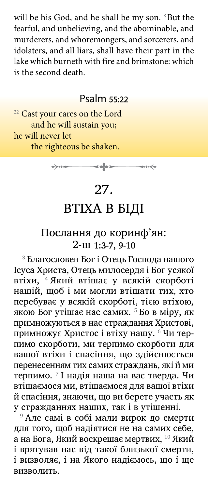will be his God, and he shall be my son. <sup>8</sup>But the fearful, and unbelieving, and the abominable, and murderers, and whoremongers, and sorcerers, and idolaters, and all liars, shall have their part in the lake which burneth with fire and brimstone: which is the second death.

#### Psalm 55:22

<sup>22</sup> Cast your cares on the Lord and he will sustain you; he will never let the righteous be shaken.

 $\longrightarrow$ 

## 27.

## ВТІХА В БІДІ

### Послання до коринф'ян: 2-ш 1:3-7, 9-10

3  Благословен Бог i Отець Господа нашого Iсуса Христа, Отець милосердя i Бог усякої втiхи, 4 Який втiшає у всякiй скорботi нашій, щоб і ми могли втішати тих, хто перебуває у всякій скорботі, тією втіхою, якою Бог утішає нас самих. <sup>5</sup> Бо в міру, як примножуються в нас страждання Христовi, примножує Христос і втіху нашу. <sup>6</sup> Чи терпимо скорботи, ми терпимо скорботи для вашої втiхи i спасiння, що здiйснюється перенесенням тих самих страждань, якi й ми терпимо. <sup>7</sup>  I надiя наша на вас тверда. Чи втiшаємося ми, втiшаємося для вашої втiхи й спасiння, знаючи, що ви берете участь як у стражданнях наших, так i в утiшеннi.

<sup>9</sup> Але самі в собі мали вирок до смерти для того, щоб надiятися не на самих себе, а на Бога, Який воскрешає мертвих, <sup>10</sup> Який i врятував нас від такої близької смерти, i визволяє, i на Якого надiємось, що i ще визволить.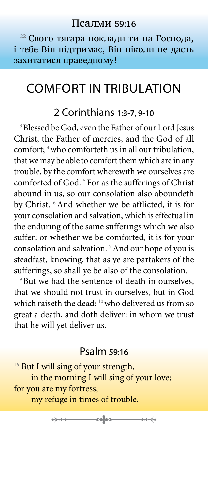#### Псалми 59:16

<sup>22</sup> Свого тягара поклади ти на Господа, і тебе Він підтримає, Він ніколи не дасть захитатися праведному!

## COMFORT IN TRIBULATION

### 2 Corinthians 1:3-7, 9-10

<sup>3</sup> Blessed be God, even the Father of our Lord Jesus Christ, the Father of mercies, and the God of all comfort; <sup>4</sup> who comforteth us in all our tribulation, that we may be able to comfort them which are in any trouble, by the comfort wherewith we ourselves are comforted of God.<sup>5</sup> For as the sufferings of Christ abound in us, so our consolation also aboundeth by Christ. <sup>6</sup>And whether we be afflicted, it is for your consolation and salvation, which is effectual in the enduring of the same sufferings which we also suffer: or whether we be comforted, it is for your consolation and salvation. 7And our hope of you is steadfast, knowing, that as ye are partakers of the sufferings, so shall ye be also of the consolation.

<sup>9</sup> But we had the sentence of death in ourselves, that we should not trust in ourselves, but in God which raiseth the dead: <sup>10</sup> who delivered us from so great a death, and doth deliver: in whom we trust that he will yet deliver us.

### Psalm 59:16

 $\rightarrow$ 

 $\longrightarrow$ 

<sup>16</sup> But I will sing of your strength, in the morning I will sing of your love; for you are my fortress, my refuge in times of trouble.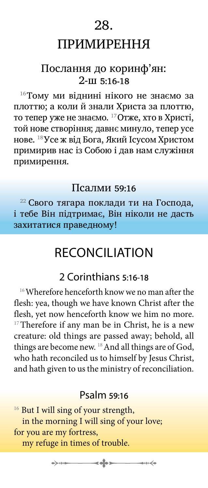### 28.

## ПРИМИРЕННЯ

### Послання до коринф'ян: 2-ш 5:16-18

<sup>16</sup>Тому ми вiднинi нiкого не знаємо за плоттю; а коли й знали Христа за плоттю, то тепер уже не знаємо. <sup>17</sup>Отже, хто в Христi, той нове створiння; давнє минуло, тепер усе нове. <sup>18</sup>Усе ж вiд Бога, Який Iсусом Христом примирив нас iз Собою i дав нам служiння примирення.

#### Псалми 59:16

<sup>22</sup> Свого тягара поклади ти на Господа, і тебе Він підтримає, Він ніколи не дасть захитатися праведному!

## RECONCILIATION

## 2 Corinthians 5:16-18

 $16$  Wherefore henceforth know we no man after the flesh: yea, though we have known Christ after the flesh, yet now henceforth know we him no more.  $17$ Therefore if any man be in Christ, he is a new creature: old things are passed away; behold, all things are become new. <sup>18</sup> And all things are of God, who hath reconciled us to himself by Jesus Christ, and hath given to us the ministry of reconciliation.

#### Psalm 59:16

 $\rightarrow$   $\rightarrow$ 

<sup>16</sup> But I will sing of your strength, in the morning I will sing of your love; for you are my fortress, my refuge in times of trouble.

 $\rightarrow$   $\rightarrow$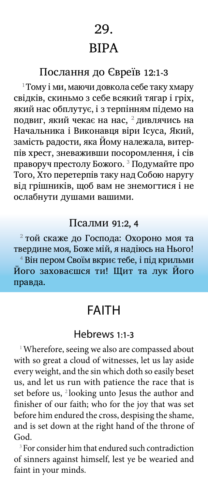## 29. ВІРА

## Послання до Євреїв 12:1-3

 $1$ Тому i ми, маючи довкола себе таку хмару свiдкiв, скиньмо з себе всякий тягар i грiх, який нас обплутує, і з терпінням підемо на подвиг, який чекає на нас,  $^{\rm 2}$  дивлячись на Начальника i Виконавця вiри Iсуса, Який, замiсть радости, яка Йому належала, витерпiв хрест, зневаживши посоромлення, i сiв праворуч престолу Божого. 3  Подумайте про Того, Хто перетерпiв таку над Собою наругу вiд грiшникiв, щоб вам не знемогтися i не ослабнути душами вашими.

#### Псалми 91:2, 4

2  той скаже до Господа: Охороно моя та твердине моя, Боже мій, я надіюсь на Нього! 4  Він пером Своїм вкриє тебе, і під крильми Його заховаєшся ти! Щит та лук Його правда.

## FAITH

#### Hebrews 1:1-3

<sup>1</sup>Wherefore, seeing we also are compassed about with so great a cloud of witnesses, let us lay aside every weight, and the sin which doth so easily beset us, and let us run with patience the race that is set before us, <sup>2</sup> looking unto Jesus the author and finisher of our faith; who for the joy that was set before him endured the cross, despising the shame, and is set down at the right hand of the throne of God.

<sup>3</sup> For consider him that endured such contradiction of sinners against himself, lest ye be wearied and faint in your minds.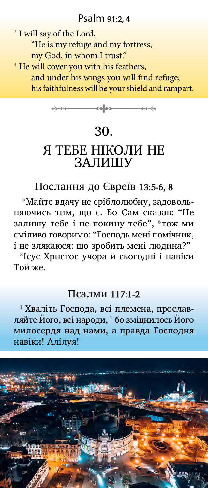### Psalm 91:2, 4

<sup>2</sup> I will say of the Lord, "He is my refuge and my fortress, my God, in whom I trust." <sup>4</sup> He will cover you with his feathers, and under his wings you will find refuge; his faithfulness will be your shield and rampart.



## 30.

## Я ТЕБЕ НІКОЛИ НЕ ЗАЛИШУ

### Послання до Євреїв 13:5-6, 8

5Майте вдачу не срiблолюбну, задовольняючись тим, що є. Бо Сам сказав: "Hе залишу тебе і не покину тебе",  $6$ тож ми смiливо говоримо: "Господь менi помiчник, i не злякаюся: що зробить менi людина?"

<sup>8</sup>Iсус Христос учора й сьогоднi i навiки Той же.

#### Псалми 117:1-2

1  Хваліть Господа, всі племена, прославляйте Його, всі народи,  $^{\rm 2}$  бо зміцнилось Йогомилосердя над нами, а правда Господня навіки! Алілуя!

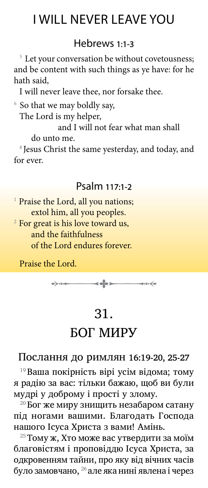## I WILL NEVER LEAVE YOU

### Hebrews 1:1-3

<sup>5</sup> Let your conversation be without covetousness; and be content with such things as ye have: for he hath said,

I will never leave thee, nor forsake thee.

6 So that we may boldly say, The Lord is my helper,

and I will not fear what man shall

do unto me.

<sup>8</sup> Jesus Christ the same yesterday, and today, and for ever.

## Psalm 117:1-2

<sup>1</sup> Praise the Lord, all you nations; extol him, all you peoples.

<sup>2</sup> For great is his love toward us, and the faithfulness of the Lord endures forever.

Praise the Lord.



## 31.

## БОГ МИРУ

#### Послання до римлян 16:19-20, 25-27

19 Ваша покiрнiсть вiрi усiм вiдома; тому я радію за вас: тiльки бажаю, щоб ви були мудрi у доброму i простi у злому.

 $^{20}$ Бог же миру знищить незабаром сатану пiд ногами вашими. Благодать Господа нашого Iсуса Христа з вами! Амiнь.

<sup>25</sup> Тому ж, Хто може вас утвердити за моїм благовiстям i проповiддю Iсуса Христа, за одкровенням тайни, про яку вiд вiчних часiв було замовчано,  $^{26}$  але яка нині явлена і через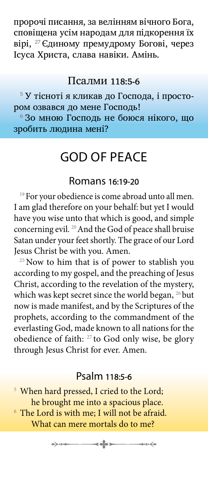пророчi писання, за велiнням вiчного Бога, сповiщена усiм народам для пiдкорення їх вiрi, 27 Єдиному премудрому Боговi, через Iсуса Христа, слава навiки. Амiнь.

#### Псалми 118:5-6

5  У тісноті я кликав до Господа, і простором озвався до мене Господь! 6  Зо мною Господь не боюся нікого, що зробить людина мені?

## GOD OF PEACE

#### Romans 16:19-20

<sup>19</sup> For your obedience is come abroad unto all men. I am glad therefore on your behalf: but yet I would have you wise unto that which is good, and simple concerning evil.<sup>20</sup> And the God of peace shall bruise Satan under your feet shortly. The grace of our Lord Jesus Christ be with you. Amen.

 $25$  Now to him that is of power to stablish you according to my gospel, and the preaching of Jesus Christ, according to the revelation of the mystery, which was kept secret since the world began, <sup>26</sup> but now is made manifest, and by the Scriptures of the prophets, according to the commandment of the everlasting God, made known to all nations for the obedience of faith: 27 to God only wise, be glory through Jesus Christ for ever. Amen.

### Psalm 118:5-6

<sup>5</sup> When hard pressed, I cried to the Lord; he brought me into a spacious place.

 $6$  The Lord is with me; I will not be afraid. What can mere mortals do to me?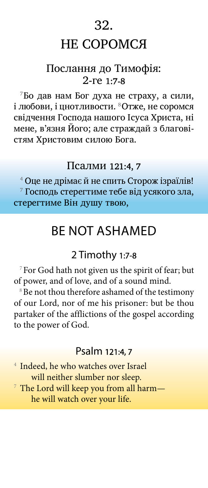### 32.

## НЕ СОРОМСЯ

### Послання до Тимофія: 2-ге 1:7-8

 $7$ Бо дав нам Бог духа не страху, а сили, і любови, і цнотливости. <sup>8</sup>Отже, не соромся свідчення Господа нашого Ісуса Христа, ні мене, в'язня Його; але страждай з благовістям Христовим силою Бога.

#### Псалми 121:4, 7

<sup>4</sup> Оце не дрімає й не спить Сторож ізраїлів! 7  Господь стерегтиме тебе від усякого зла, стерегтиме Він душу твою,

## BE NOT ASHAMED

### 2 Timothy 1:7-8

 $7$  For God hath not given us the spirit of fear; but of power, and of love, and of a sound mind.

<sup>8</sup> Be not thou therefore ashamed of the testimony of our Lord, nor of me his prisoner: but be thou partaker of the afflictions of the gospel according to the power of God.

### Psalm 121:4, 7

<sup>4</sup> Indeed, he who watches over Israel will neither slumber nor sleep.

 $7$  The Lord will keep you from all harm he will watch over your life.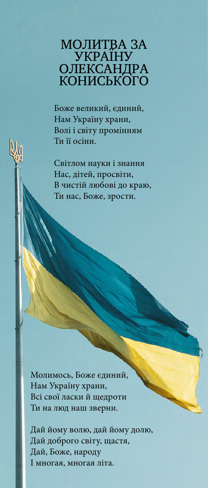# МОЛИТВА ЗА УКРАЇНУ ОЛЕКСАНДРА КОНИСЬКОГО

Боже великий, єдиний, Нам Україну храни, Волі і світу промінням Ти її осіни.

Світлом науки і знання Нас, дітей, просвіти, В чистій любові до краю, Ти нас, Боже, зрости.

Молимось, Боже єдиний, Нам Україну храни, Всі свої ласки й щедроти Ти на люд наш зверни.

Дай йому волю, дай йому долю, Дай доброго світу, щастя, Дай, Боже, народу І многая, многая літа.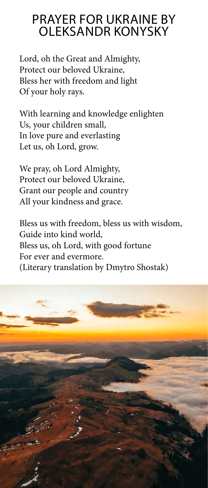## PRAYER FOR UKRAINE BY OLEKSANDR KONYSKY

Lord, oh the Great and Almighty, Protect our beloved Ukraine, Bless her with freedom and light Of your holy rays.

With learning and knowledge enlighten Us, your children small, In love pure and everlasting Let us, oh Lord, grow.

We pray, oh Lord Almighty, Protect our beloved Ukraine, Grant our people and country All your kindness and grace.

Bless us with freedom, bless us with wisdom, Guide into kind world, Bless us, oh Lord, with good fortune For ever and evermore. (Literary translation by Dmytro Shostak)